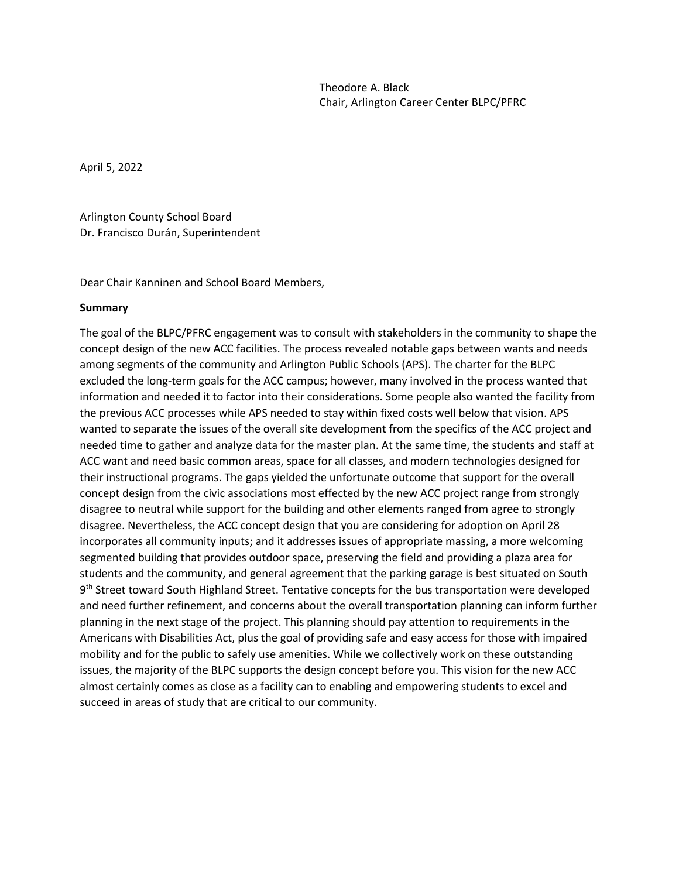April 5, 2022

Arlington County School Board Dr. Francisco Durán, Superintendent

Dear Chair Kanninen and School Board Members,

#### **Summary**

The goal of the BLPC/PFRC engagement was to consult with stakeholders in the community to shape the concept design of the new ACC facilities. The process revealed notable gaps between wants and needs among segments of the community and Arlington Public Schools (APS). The charter for the BLPC excluded the long-term goals for the ACC campus; however, many involved in the process wanted that information and needed it to factor into their considerations. Some people also wanted the facility from the previous ACC processes while APS needed to stay within fixed costs well below that vision. APS wanted to separate the issues of the overall site development from the specifics of the ACC project and needed time to gather and analyze data for the master plan. At the same time, the students and staff at ACC want and need basic common areas, space for all classes, and modern technologies designed for their instructional programs. The gaps yielded the unfortunate outcome that support for the overall concept design from the civic associations most effected by the new ACC project range from strongly disagree to neutral while support for the building and other elements ranged from agree to strongly disagree. Nevertheless, the ACC concept design that you are considering for adoption on April 28 incorporates all community inputs; and it addresses issues of appropriate massing, a more welcoming segmented building that provides outdoor space, preserving the field and providing a plaza area for students and the community, and general agreement that the parking garage is best situated on South 9<sup>th</sup> Street toward South Highland Street. Tentative concepts for the bus transportation were developed and need further refinement, and concerns about the overall transportation planning can inform further planning in the next stage of the project. This planning should pay attention to requirements in the Americans with Disabilities Act, plus the goal of providing safe and easy access for those with impaired mobility and for the public to safely use amenities. While we collectively work on these outstanding issues, the majority of the BLPC supports the design concept before you. This vision for the new ACC almost certainly comes as close as a facility can to enabling and empowering students to excel and succeed in areas of study that are critical to our community.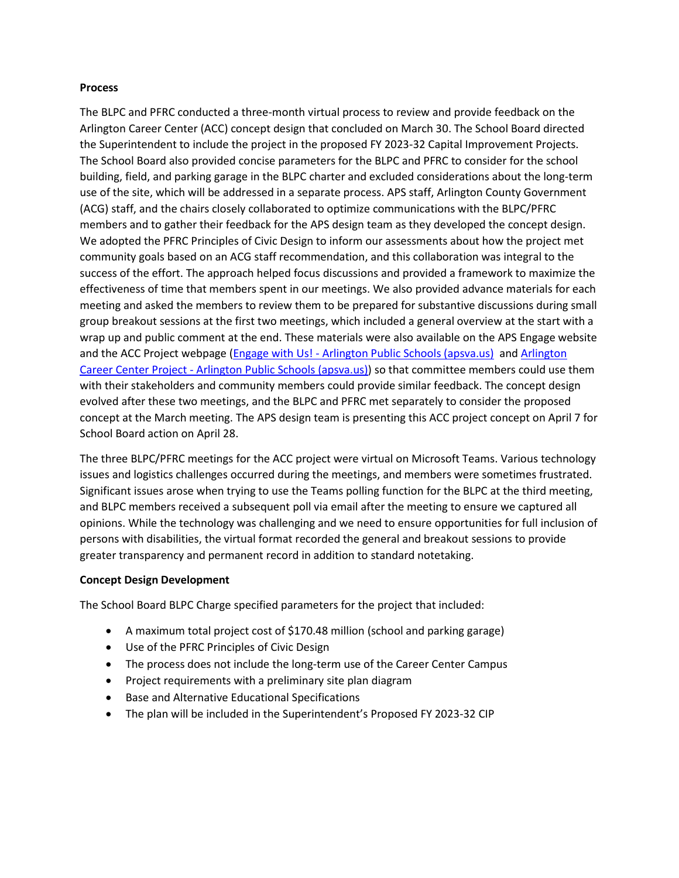### **Process**

The BLPC and PFRC conducted a three-month virtual process to review and provide feedback on the Arlington Career Center (ACC) concept design that concluded on March 30. The School Board directed the Superintendent to include the project in the proposed FY 2023-32 Capital Improvement Projects. The School Board also provided concise parameters for the BLPC and PFRC to consider for the school building, field, and parking garage in the BLPC charter and excluded considerations about the long-term use of the site, which will be addressed in a separate process. APS staff, Arlington County Government (ACG) staff, and the chairs closely collaborated to optimize communications with the BLPC/PFRC members and to gather their feedback for the APS design team as they developed the concept design. We adopted the PFRC Principles of Civic Design to inform our assessments about how the project met community goals based on an ACG staff recommendation, and this collaboration was integral to the success of the effort. The approach helped focus discussions and provided a framework to maximize the effectiveness of time that members spent in our meetings. We also provided advance materials for each meeting and asked the members to review them to be prepared for substantive discussions during small group breakout sessions at the first two meetings, which included a general overview at the start with a wrap up and public comment at the end. These materials were also available on the APS Engage website and the ACC Project webpage (Engage with Us! - [Arlington Public Schools \(apsva.us\)](https://www.apsva.us/engage/) and [Arlington](https://www.apsva.us/engage/arlington-career-center-project/)  Career Center Project - [Arlington Public Schools \(apsva.us\)\)](https://www.apsva.us/engage/arlington-career-center-project/) so that committee members could use them with their stakeholders and community members could provide similar feedback. The concept design evolved after these two meetings, and the BLPC and PFRC met separately to consider the proposed concept at the March meeting. The APS design team is presenting this ACC project concept on April 7 for School Board action on April 28.

The three BLPC/PFRC meetings for the ACC project were virtual on Microsoft Teams. Various technology issues and logistics challenges occurred during the meetings, and members were sometimes frustrated. Significant issues arose when trying to use the Teams polling function for the BLPC at the third meeting, and BLPC members received a subsequent poll via email after the meeting to ensure we captured all opinions. While the technology was challenging and we need to ensure opportunities for full inclusion of persons with disabilities, the virtual format recorded the general and breakout sessions to provide greater transparency and permanent record in addition to standard notetaking.

## **Concept Design Development**

The School Board BLPC Charge specified parameters for the project that included:

- A maximum total project cost of \$170.48 million (school and parking garage)
- Use of the PFRC Principles of Civic Design
- The process does not include the long-term use of the Career Center Campus
- Project requirements with a preliminary site plan diagram
- Base and Alternative Educational Specifications
- The plan will be included in the Superintendent's Proposed FY 2023-32 CIP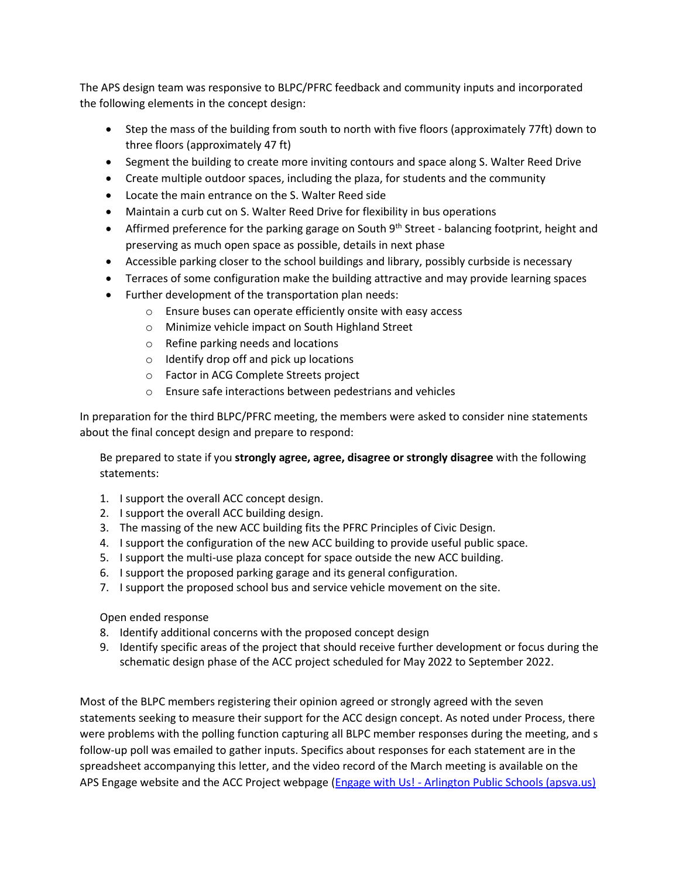The APS design team was responsive to BLPC/PFRC feedback and community inputs and incorporated the following elements in the concept design:

- Step the mass of the building from south to north with five floors (approximately 77ft) down to three floors (approximately 47 ft)
- Segment the building to create more inviting contours and space along S. Walter Reed Drive
- Create multiple outdoor spaces, including the plaza, for students and the community
- Locate the main entrance on the S. Walter Reed side
- Maintain a curb cut on S. Walter Reed Drive for flexibility in bus operations
- Affirmed preference for the parking garage on South  $9<sup>th</sup>$  Street balancing footprint, height and preserving as much open space as possible, details in next phase
- Accessible parking closer to the school buildings and library, possibly curbside is necessary
- Terraces of some configuration make the building attractive and may provide learning spaces
- Further development of the transportation plan needs:
	- o Ensure buses can operate efficiently onsite with easy access
	- o Minimize vehicle impact on South Highland Street
	- o Refine parking needs and locations
	- o Identify drop off and pick up locations
	- o Factor in ACG Complete Streets project
	- o Ensure safe interactions between pedestrians and vehicles

In preparation for the third BLPC/PFRC meeting, the members were asked to consider nine statements about the final concept design and prepare to respond:

Be prepared to state if you **strongly agree, agree, disagree or strongly disagree** with the following statements:

- 1. I support the overall ACC concept design.
- 2. I support the overall ACC building design.
- 3. The massing of the new ACC building fits the PFRC Principles of Civic Design.
- 4. I support the configuration of the new ACC building to provide useful public space.
- 5. I support the multi-use plaza concept for space outside the new ACC building.
- 6. I support the proposed parking garage and its general configuration.
- 7. I support the proposed school bus and service vehicle movement on the site.

Open ended response

- 8. Identify additional concerns with the proposed concept design
- 9. Identify specific areas of the project that should receive further development or focus during the schematic design phase of the ACC project scheduled for May 2022 to September 2022.

Most of the BLPC members registering their opinion agreed or strongly agreed with the seven statements seeking to measure their support for the ACC design concept. As noted under Process, there were problems with the polling function capturing all BLPC member responses during the meeting, and s follow-up poll was emailed to gather inputs. Specifics about responses for each statement are in the spreadsheet accompanying this letter, and the video record of the March meeting is available on the APS Engage website and the ACC Project webpage (Engage with Us! - Arlington Public Schools (apsva.us)